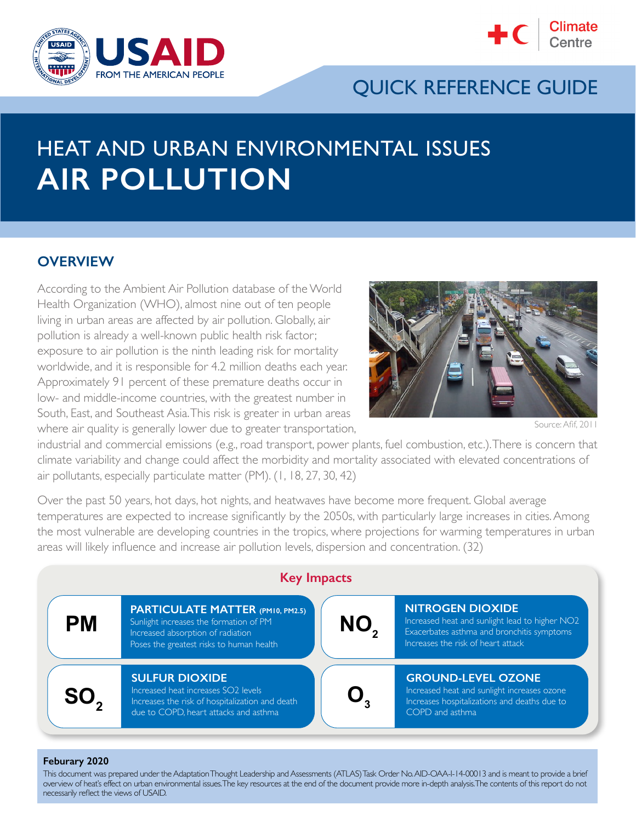



# QUICK REFERENCE GUIDE

# HEAT AND URBAN ENVIRONMENTAL ISSUES **AIR POLLUTION**

### **OVERVIEW**

According to the Ambient Air Pollution database of the World Health Organization (WHO), almost nine out of ten people living in urban areas are affected by air pollution. Globally, air pollution is already a well-known public health risk factor; exposure to air pollution is the ninth leading risk for mortality worldwide, and it is responsible for 4.2 million deaths each year. Approximately 91 percent of these premature deaths occur in low- and middle-income countries, with the greatest number in South, East, and Southeast Asia. This risk is greater in urban areas where air quality is generally lower due to greater transportation,



Source: Afif, 2011

industrial and commercial emissions (e.g., road transport, power plants, fuel combustion, etc.). There is concern that climate variability and change could affect the morbidity and mortality associated with elevated concentrations of air pollutants, especially particulate matter (PM). (1, 18, 27, 30, 42)

Over the past 50 years, hot days, hot nights, and heatwaves have become more frequent. Global average temperatures are expected to increase significantly by the 2050s, with particularly large increases in cities. Among the most vulnerable are developing countries in the tropics, where projections for warming temperatures in urban areas will likely influence and increase air pollution levels, dispersion and concentration. (32)



#### **Feburary 2020**

This document was prepared under the Adaptation Thought Leadership and Assessments (ATLAS) Task Order No. AID-OAA-I-14-00013 and is meant to provide a brief overview of heat's effect on urban environmental issues. The key resources at the end of the document provide more in-depth analysis. The contents of this report do not necessarily reflect the views of USAID.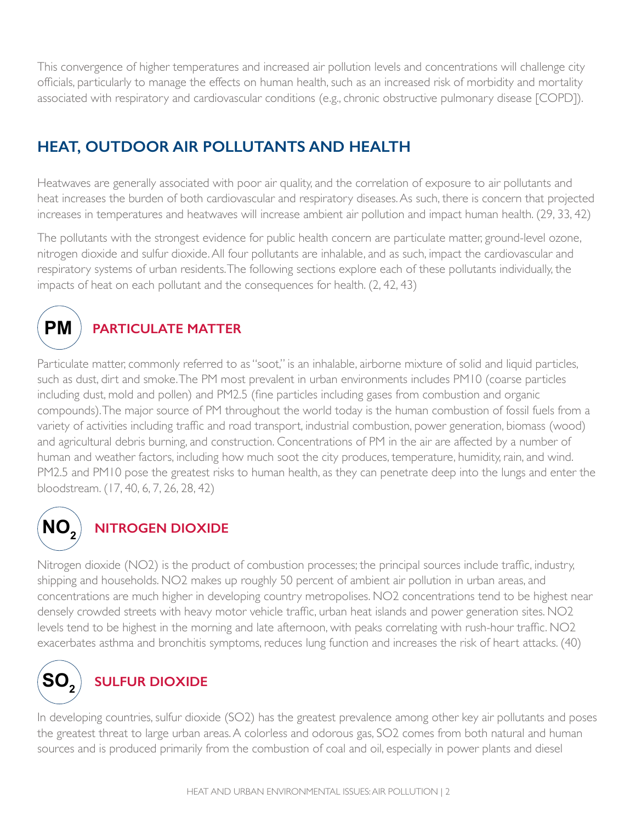This convergence of higher temperatures and increased air pollution levels and concentrations will challenge city officials, particularly to manage the effects on human health, such as an increased risk of morbidity and mortality associated with respiratory and cardiovascular conditions (e.g., chronic obstructive pulmonary disease [COPD]).

# **HEAT, OUTDOOR AIR POLLUTANTS AND HEALTH**

Heatwaves are generally associated with poor air quality, and the correlation of exposure to air pollutants and heat increases the burden of both cardiovascular and respiratory diseases. As such, there is concern that projected increases in temperatures and heatwaves will increase ambient air pollution and impact human health. (29, 33, 42)

The pollutants with the strongest evidence for public health concern are particulate matter, ground-level ozone, nitrogen dioxide and sulfur dioxide. All four pollutants are inhalable, and as such, impact the cardiovascular and respiratory systems of urban residents. The following sections explore each of these pollutants individually, the impacts of heat on each pollutant and the consequences for health. (2, 42, 43)



# **PARTICULATE MATTER**

Particulate matter, commonly referred to as "soot," is an inhalable, airborne mixture of solid and liquid particles, such as dust, dirt and smoke. The PM most prevalent in urban environments includes PM10 (coarse particles including dust, mold and pollen) and PM2.5 (fine particles including gases from combustion and organic compounds). The major source of PM throughout the world today is the human combustion of fossil fuels from a variety of activities including traffic and road transport, industrial combustion, power generation, biomass (wood) and agricultural debris burning, and construction. Concentrations of PM in the air are affected by a number of human and weather factors, including how much soot the city produces, temperature, humidity, rain, and wind. PM2.5 and PM10 pose the greatest risks to human health, as they can penetrate deep into the lungs and enter the bloodstream. (17, 40, 6, 7, 26, 28, 42)



# **NITROGEN DIOXIDE**

Nitrogen dioxide (NO2) is the product of combustion processes; the principal sources include traffic, industry, shipping and households. NO2 makes up roughly 50 percent of ambient air pollution in urban areas, and concentrations are much higher in developing country metropolises. NO2 concentrations tend to be highest near densely crowded streets with heavy motor vehicle traffic, urban heat islands and power generation sites. NO2 levels tend to be highest in the morning and late afternoon, with peaks correlating with rush-hour traffic. NO2 exacerbates asthma and bronchitis symptoms, reduces lung function and increases the risk of heart attacks. (40)



# **SULFUR DIOXIDE**

In developing countries, sulfur dioxide (SO2) has the greatest prevalence among other key air pollutants and poses the greatest threat to large urban areas. A colorless and odorous gas, SO2 comes from both natural and human sources and is produced primarily from the combustion of coal and oil, especially in power plants and diesel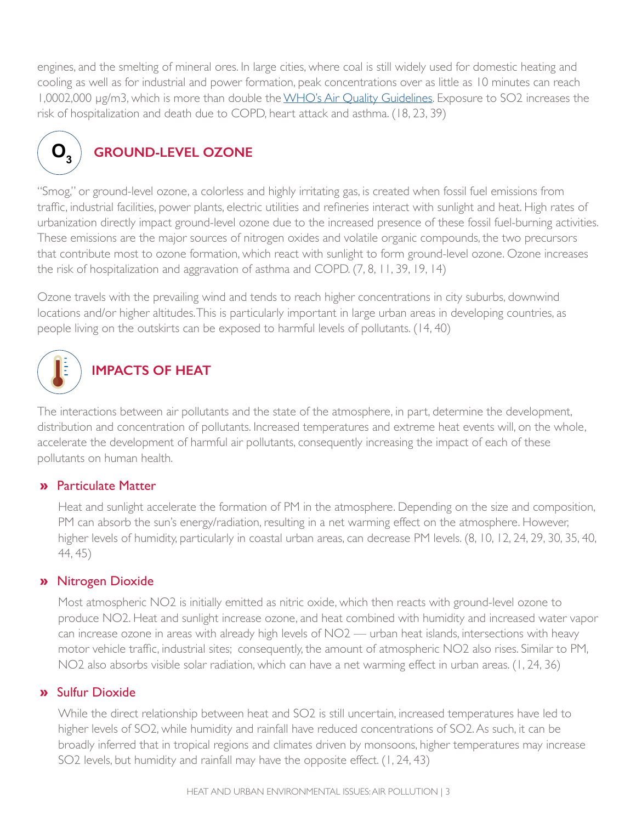engines, and the smelting of mineral ores. In large cities, where coal is still widely used for domestic heating and cooling as well as for industrial and power formation, peak concentrations over as little as 10 minutes can reach 1,0002,000 μg/m3, which is more than double the [WHO's Air Quality Guidelines](https://apps.who.int/iris/bitstream/handle/10665/69477/WHO_SDE_PHE_OEH_06.02_eng.pdf?sequence=1). Exposure to SO2 increases the risk of hospitalization and death due to COPD, heart attack and asthma. (18, 23, 39)



# **GROUND-LEVEL OZONE**

"Smog," or ground-level ozone, a colorless and highly irritating gas, is created when fossil fuel emissions from traffic, industrial facilities, power plants, electric utilities and refineries interact with sunlight and heat. High rates of urbanization directly impact ground-level ozone due to the increased presence of these fossil fuel-burning activities. These emissions are the major sources of nitrogen oxides and volatile organic compounds, the two precursors that contribute most to ozone formation, which react with sunlight to form ground-level ozone. Ozone increases the risk of hospitalization and aggravation of asthma and COPD. (7, 8, 11, 39, 19, 14)

Ozone travels with the prevailing wind and tends to reach higher concentrations in city suburbs, downwind locations and/or higher altitudes. This is particularly important in large urban areas in developing countries, as people living on the outskirts can be exposed to harmful levels of pollutants. (14, 40)



# **IMPACTS OF HEAT**

The interactions between air pollutants and the state of the atmosphere, in part, determine the development, distribution and concentration of pollutants. Increased temperatures and extreme heat events will, on the whole, accelerate the development of harmful air pollutants, consequently increasing the impact of each of these pollutants on human health.

### » Particulate Matter

Heat and sunlight accelerate the formation of PM in the atmosphere. Depending on the size and composition, PM can absorb the sun's energy/radiation, resulting in a net warming effect on the atmosphere. However, higher levels of humidity, particularly in coastal urban areas, can decrease PM levels. (8, 10, 12, 24, 29, 30, 35, 40, 44, 45)

#### » Nitrogen Dioxide

Most atmospheric NO2 is initially emitted as nitric oxide, which then reacts with ground-level ozone to produce NO2. Heat and sunlight increase ozone, and heat combined with humidity and increased water vapor can increase ozone in areas with already high levels of NO2 — urban heat islands, intersections with heavy motor vehicle traffic, industrial sites; consequently, the amount of atmospheric NO2 also rises. Similar to PM, NO2 also absorbs visible solar radiation, which can have a net warming effect in urban areas. (1, 24, 36)

#### » Sulfur Dioxide

While the direct relationship between heat and SO2 is still uncertain, increased temperatures have led to higher levels of SO2, while humidity and rainfall have reduced concentrations of SO2. As such, it can be broadly inferred that in tropical regions and climates driven by monsoons, higher temperatures may increase SO2 levels, but humidity and rainfall may have the opposite effect. (1, 24, 43)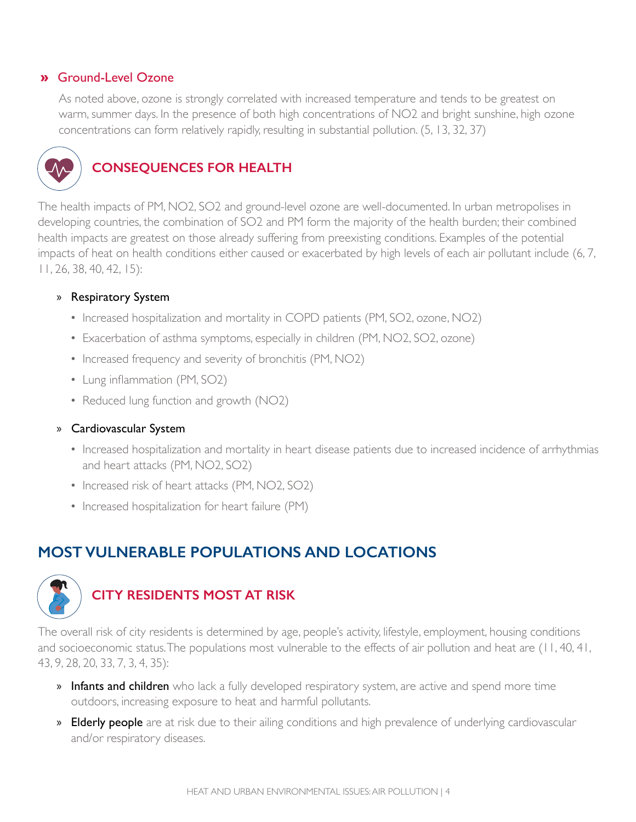#### » Ground-Level Ozone

As noted above, ozone is strongly correlated with increased temperature and tends to be greatest on warm, summer days. In the presence of both high concentrations of NO2 and bright sunshine, high ozone concentrations can form relatively rapidly, resulting in substantial pollution. (5, 13, 32, 37)



## **CONSEQUENCES FOR HEALTH**

The health impacts of PM, NO2, SO2 and ground-level ozone are well-documented. In urban metropolises in developing countries, the combination of SO2 and PM form the majority of the health burden; their combined health impacts are greatest on those already suffering from preexisting conditions. Examples of the potential impacts of heat on health conditions either caused or exacerbated by high levels of each air pollutant include (6, 7, 11, 26, 38, 40, 42, 15):

#### » Respiratory System

- Increased hospitalization and mortality in COPD patients (PM, SO2, ozone, NO2)
- Exacerbation of asthma symptoms, especially in children (PM, NO2, SO2, ozone)
- Increased frequency and severity of bronchitis (PM, NO2)
- Lung inflammation (PM, SO2)
- Reduced lung function and growth (NO2)

#### » Cardiovascular System

- Increased hospitalization and mortality in heart disease patients due to increased incidence of arrhythmias and heart attacks (PM, NO2, SO2)
- Increased risk of heart attacks (PM, NO2, SO2)
- Increased hospitalization for heart failure (PM)

# **MOST VULNERABLE POPULATIONS AND LOCATIONS**



### **CITY RESIDENTS MOST AT RISK**

The overall risk of city residents is determined by age, people's activity, lifestyle, employment, housing conditions and socioeconomic status. The populations most vulnerable to the effects of air pollution and heat are (11, 40, 41, 43, 9, 28, 20, 33, 7, 3, 4, 35):

- » Infants and children who lack a fully developed respiratory system, are active and spend more time outdoors, increasing exposure to heat and harmful pollutants.
- » Elderly people are at risk due to their ailing conditions and high prevalence of underlying cardiovascular and/or respiratory diseases.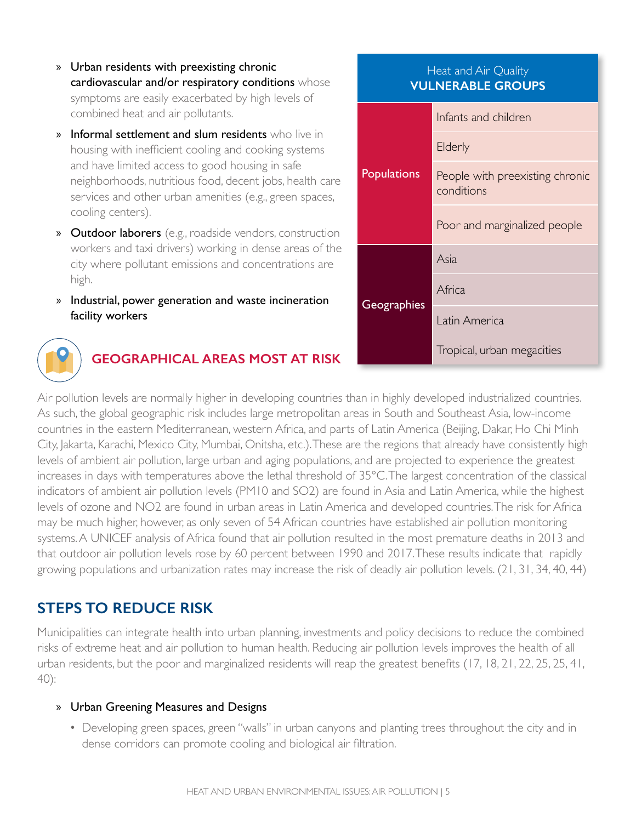- » Urban residents with preexisting chronic cardiovascular and/or respiratory conditions whose symptoms are easily exacerbated by high levels of combined heat and air pollutants.
- **Informal settlement and slum residents** who live in housing with inefficient cooling and cooking systems and have limited access to good housing in safe neighborhoods, nutritious food, decent jobs, health care services and other urban amenities (e.g., green spaces, cooling centers).
- » Outdoor laborers (e.g., roadside vendors, construction workers and taxi drivers) working in dense areas of the city where pollutant emissions and concentrations are high.
- » Industrial, power generation and waste incineration facility workers

#### Heat and Air Quality **VULNERABLE GROUPS**

| <b>Populations</b> | Infants and children                          |
|--------------------|-----------------------------------------------|
|                    | Elderly                                       |
|                    | People with preexisting chronic<br>conditions |
|                    | Poor and marginalized people                  |
| Geographies        | Asia                                          |
|                    | Africa                                        |
|                    | Latin America                                 |
|                    | Tropical, urban megacities                    |



## **GEOGRAPHICAL AREAS MOST AT RISK**

Air pollution levels are normally higher in developing countries than in highly developed industrialized countries. As such, the global geographic risk includes large metropolitan areas in South and Southeast Asia, low-income countries in the eastern Mediterranean, western Africa, and parts of Latin America (Beijing, Dakar, Ho Chi Minh City, Jakarta, Karachi, Mexico City, Mumbai, Onitsha, etc.). These are the regions that already have consistently high levels of ambient air pollution, large urban and aging populations, and are projected to experience the greatest increases in days with temperatures above the lethal threshold of 35°C. The largest concentration of the classical indicators of ambient air pollution levels (PM10 and SO2) are found in Asia and Latin America, while the highest levels of ozone and NO2 are found in urban areas in Latin America and developed countries. The risk for Africa may be much higher, however, as only seven of 54 African countries have established air pollution monitoring systems. A UNICEF analysis of Africa found that air pollution resulted in the most premature deaths in 2013 and that outdoor air pollution levels rose by 60 percent between 1990 and 2017. These results indicate that rapidly growing populations and urbanization rates may increase the risk of deadly air pollution levels. (21, 31, 34, 40, 44)

### **STEPS TO REDUCE RISK**

Municipalities can integrate health into urban planning, investments and policy decisions to reduce the combined risks of extreme heat and air pollution to human health. Reducing air pollution levels improves the health of all urban residents, but the poor and marginalized residents will reap the greatest benefits (17, 18, 21, 22, 25, 25, 41, 40):

#### » Urban Greening Measures and Designs

• Developing green spaces, green "walls" in urban canyons and planting trees throughout the city and in dense corridors can promote cooling and biological air filtration.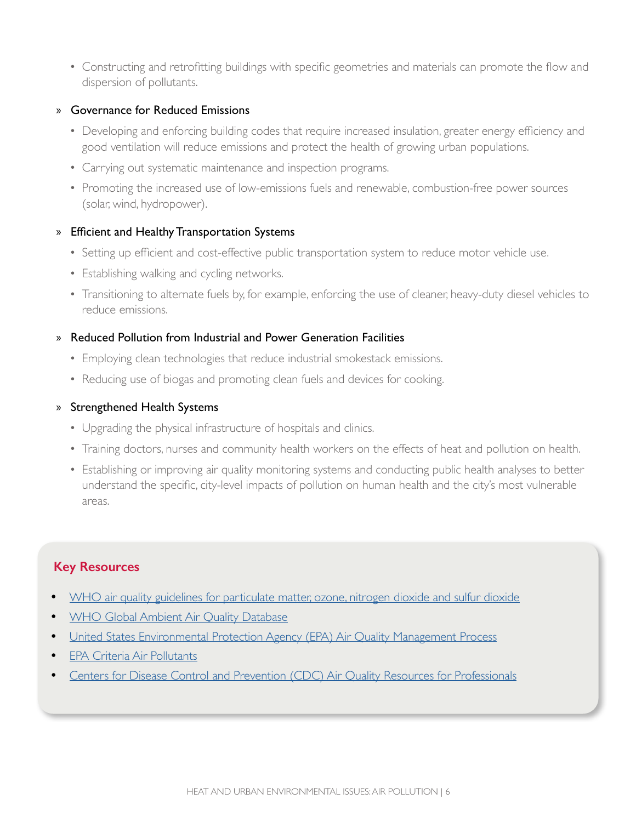• Constructing and retrofitting buildings with specific geometries and materials can promote the flow and dispersion of pollutants.

#### » Governance for Reduced Emissions

- Developing and enforcing building codes that require increased insulation, greater energy efficiency and good ventilation will reduce emissions and protect the health of growing urban populations.
- Carrying out systematic maintenance and inspection programs.
- Promoting the increased use of low-emissions fuels and renewable, combustion-free power sources (solar, wind, hydropower).

#### » Efficient and Healthy Transportation Systems

- Setting up efficient and cost-effective public transportation system to reduce motor vehicle use.
- Establishing walking and cycling networks.
- Transitioning to alternate fuels by, for example, enforcing the use of cleaner, heavy-duty diesel vehicles to reduce emissions.

#### » Reduced Pollution from Industrial and Power Generation Facilities

- Employing clean technologies that reduce industrial smokestack emissions.
- Reducing use of biogas and promoting clean fuels and devices for cooking.

#### » Strengthened Health Systems

- Upgrading the physical infrastructure of hospitals and clinics.
- Training doctors, nurses and community health workers on the effects of heat and pollution on health.
- Establishing or improving air quality monitoring systems and conducting public health analyses to better understand the specific, city-level impacts of pollution on human health and the city's most vulnerable areas.

### **Key Resources**

- [WHO air quality guidelines for particulate matter, ozone, nitrogen dioxide and sulfur dioxide](https://apps.who.int/iris/bitstream/handle/10665/69477/WHO_SDE_PHE_OEH_06.02_eng.pdf?sequence=1)
- **[WHO Global Ambient Air Quality Database](https://www.who.int/airpollution/data/cities/en/)**
- [United States Environmental Protection Agency \(EPA\) Air Quality Management Process](https://www.epa.gov/air-quality-management-process)
- **[EPA Criteria Air Pollutants](https://www.epa.gov/criteria-air-pollutants)**
- [Centers for Disease Control and Prevention \(CDC\) Air Quality Resources for Professionals](https://www.cdc.gov/air/resources.htm)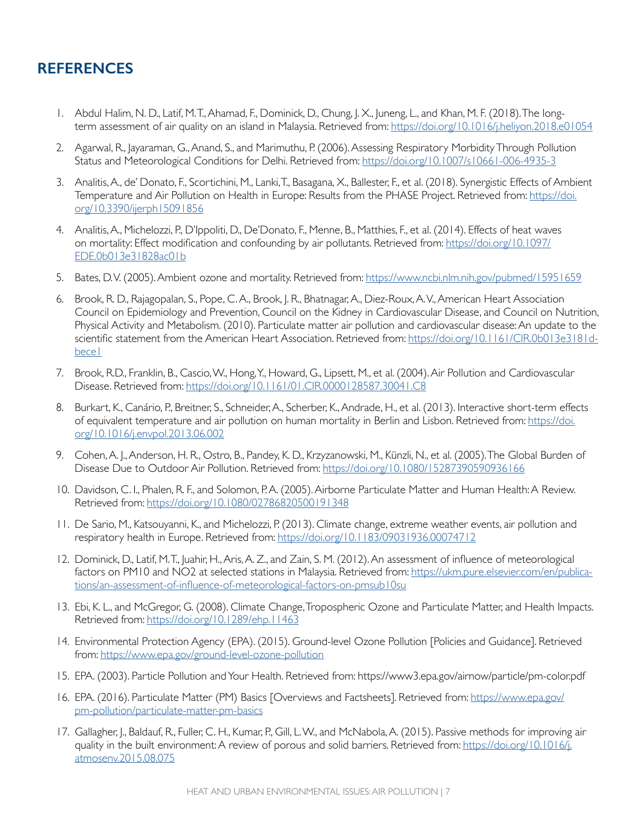### **REFERENCES**

- 1. Abdul Halim, N. D., Latif, M. T., Ahamad, F., Dominick, D., Chung, J. X., Juneng, L., and Khan, M. F. (2018). The longterm assessment of air quality on an island in Malaysia. Retrieved from: <https://doi.org/10.1016/j.heliyon.2018.e01054>
- 2. Agarwal, R., Jayaraman, G., Anand, S., and Marimuthu, P. (2006). Assessing Respiratory Morbidity Through Pollution Status and Meteorological Conditions for Delhi. Retrieved from: <https://doi.org/10.1007/s10661-006-4935-3>
- 3. Analitis, A., de' Donato, F., Scortichini, M., Lanki, T., Basagana, X., Ballester, F., et al. (2018). Synergistic Effects of Ambient Temperature and Air Pollution on Health in Europe: Results from the PHASE Project. Retrieved from: [https://doi.](https://doi.org/10.3390/ijerph15091856) [org/10.3390/ijerph15091856](https://doi.org/10.3390/ijerph15091856)
- 4. Analitis, A., Michelozzi, P., D'Ippoliti, D., De'Donato, F., Menne, B., Matthies, F., et al. (2014). Effects of heat waves on mortality: Effect modification and confounding by air pollutants. Retrieved from: [https://doi.org/10.1097/](https://doi.org/10.1097/EDE.0b013e31828ac01b) [EDE.0b013e31828ac01b](https://doi.org/10.1097/EDE.0b013e31828ac01b)
- 5. Bates, D.V. (2005). Ambient ozone and mortality. Retrieved from: <https://www.ncbi.nlm.nih.gov/pubmed/15951659>
- 6. Brook, R. D., Rajagopalan, S., Pope, C. A., Brook, J. R., Bhatnagar, A., Diez-Roux, A. V., American Heart Association Council on Epidemiology and Prevention, Council on the Kidney in Cardiovascular Disease, and Council on Nutrition, Physical Activity and Metabolism. (2010). Particulate matter air pollution and cardiovascular disease: An update to the scientific statement from the American Heart Association. Retrieved from: [https://doi.org/10.1161/CIR.0b013e3181d](https://doi.org/10.1161/CIR.0b013e3181dbece1)bece l
- 7. Brook, R.D., Franklin, B., Cascio, W., Hong, Y., Howard, G., Lipsett, M., et al. (2004). Air Pollution and Cardiovascular Disease. Retrieved from:<https://doi.org/10.1161/01.CIR.0000128587.30041.C8>
- 8. Burkart, K., Canário, P., Breitner, S., Schneider, A., Scherber, K., Andrade, H., et al. (2013). Interactive short-term effects of equivalent temperature and air pollution on human mortality in Berlin and Lisbon. Retrieved from: [https://doi.](https://doi.org/10.1016/j.envpol.2013.06.002) [org/10.1016/j.envpol.2013.06.002](https://doi.org/10.1016/j.envpol.2013.06.002)
- 9. Cohen, A. J., Anderson, H. R., Ostro, B., Pandey, K. D., Krzyzanowski, M., Künzli, N., et al. (2005). The Global Burden of Disease Due to Outdoor Air Pollution. Retrieved from: <https://doi.org/10.1080/15287390590936166>
- 10. Davidson, C. I., Phalen, R. F., and Solomon, P.A. (2005). Airborne Particulate Matter and Human Health: A Review. Retrieved from: <https://doi.org/10.1080/02786820500191348>
- 11. De Sario, M., Katsouyanni, K., and Michelozzi, P. (2013). Climate change, extreme weather events, air pollution and respiratory health in Europe. Retrieved from: <https://doi.org/10.1183/09031936.00074712>
- 12. Dominick, D., Latif, M. T., Juahir, H., Aris, A. Z., and Zain, S. M. (2012). An assessment of influence of meteorological factors on PM10 and NO2 at selected stations in Malaysia. Retrieved from: [https://ukm.pure.elsevier.com/en/publica](https://ukm.pure.elsevier.com/en/publications/an-assessment-of-influence-of-meteorological-factors-on-pmsub10su)[tions/an-assessment-of-influence-of-meteorological-factors-on-pmsub10su](https://ukm.pure.elsevier.com/en/publications/an-assessment-of-influence-of-meteorological-factors-on-pmsub10su)
- 13. Ebi, K. L., and McGregor, G. (2008). Climate Change, Tropospheric Ozone and Particulate Matter, and Health Impacts. Retrieved from: <https://doi.org/10.1289/ehp.11463>
- 14. Environmental Protection Agency (EPA). (2015). Ground-level Ozone Pollution [Policies and Guidance]. Retrieved from: <https://www.epa.gov/ground-level-ozone-pollution>
- 15. EPA. (2003). Particle Pollution and Your Health. Retrieved from: https://www3.epa.gov/airnow/particle/pm-color.pdf
- 16. EPA. (2016). Particulate Matter (PM) Basics [Overviews and Factsheets]. Retrieved from: [https://www.epa.gov/](https://www.epa.gov/pm-pollution/particulate-matter-pm-basics) [pm-pollution/particulate-matter-pm-basics](https://www.epa.gov/pm-pollution/particulate-matter-pm-basics)
- 17. Gallagher, J., Baldauf, R., Fuller, C. H., Kumar, P., Gill, L. W., and McNabola, A. (2015). Passive methods for improving air quality in the built environment: A review of porous and solid barriers. Retrieved from: [https://doi.org/10.1016/j.](https://doi.org/10.1016/j.atmosenv.2015.08.075) [atmosenv.2015.08.075](https://doi.org/10.1016/j.atmosenv.2015.08.075)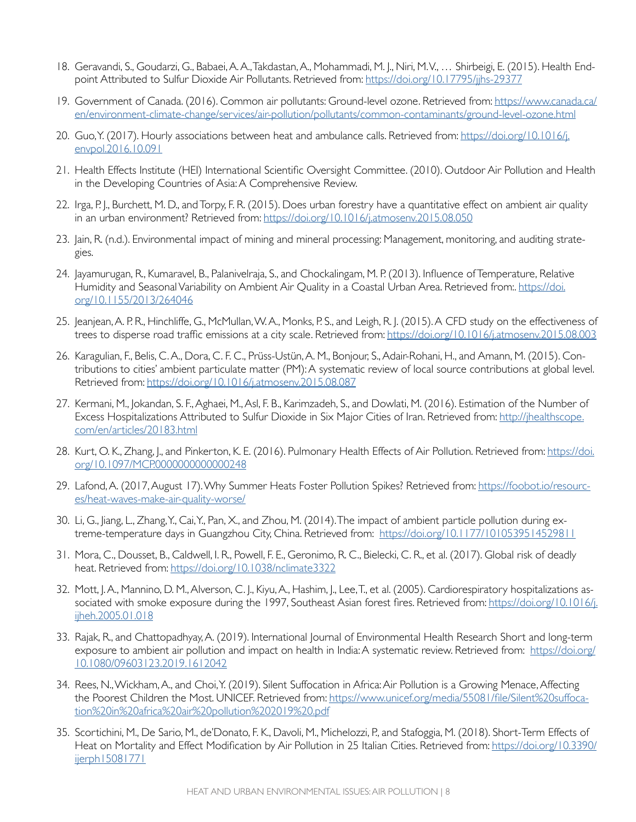- 18. Geravandi, S., Goudarzi, G., Babaei, A. A., Takdastan, A., Mohammadi, M. J., Niri, M. V., … Shirbeigi, E. (2015). Health Endpoint Attributed to Sulfur Dioxide Air Pollutants. Retrieved from: <https://doi.org/10.17795/jjhs-29377>
- 19. Government of Canada. (2016). Common air pollutants: Ground-level ozone. Retrieved from: [https://www.canada.ca/](https://www.canada.ca/en/environment-climate-change/services/air-pollution/pollutants/common-contaminants/ground-level-ozone.html) [en/environment-climate-change/services/air-pollution/pollutants/common-contaminants/ground-level-ozone.html](https://www.canada.ca/en/environment-climate-change/services/air-pollution/pollutants/common-contaminants/ground-level-ozone.html)
- 20. Guo, Y. (2017). Hourly associations between heat and ambulance calls. Retrieved from: [https://doi.org/10.1016/j.](https://doi.org/10.1016/j.envpol.2016.10.091) [envpol.2016.10.091](https://doi.org/10.1016/j.envpol.2016.10.091)
- 21. Health Effects Institute (HEI) International Scientific Oversight Committee. (2010). Outdoor Air Pollution and Health in the Developing Countries of Asia: A Comprehensive Review.
- 22. Irga, P. J., Burchett, M. D., and Torpy, F. R. (2015). Does urban forestry have a quantitative effect on ambient air quality in an urban environment? Retrieved from: <https://doi.org/10.1016/j.atmosenv.2015.08.050>
- 23. Jain, R. (n.d.). Environmental impact of mining and mineral processing: Management, monitoring, and auditing strategies.
- 24. Jayamurugan, R., Kumaravel, B., Palanivelraja, S., and Chockalingam, M. P. (2013). Influence of Temperature, Relative Humidity and Seasonal Variability on Ambient Air Quality in a Coastal Urban Area. Retrieved from:. [https://doi.](https://doi.org/10.1155/2013/264046) [org/10.1155/2013/264046](https://doi.org/10.1155/2013/264046)
- 25. Jeanjean, A. P. R., Hinchliffe, G., McMullan, W. A., Monks, P. S., and Leigh, R. J. (2015). A CFD study on the effectiveness of trees to disperse road traffic emissions at a city scale. Retrieved from: <https://doi.org/10.1016/j.atmosenv.2015.08.003>
- 26. Karagulian, F., Belis, C. A., Dora, C. F. C., Prüss-Ustün, A. M., Bonjour, S., Adair-Rohani, H., and Amann, M. (2015). Contributions to cities' ambient particulate matter (PM): A systematic review of local source contributions at global level. Retrieved from: <https://doi.org/10.1016/j.atmosenv.2015.08.087>
- 27. Kermani, M., Jokandan, S. F., Aghaei, M., Asl, F. B., Karimzadeh, S., and Dowlati, M. (2016). Estimation of the Number of Excess Hospitalizations Attributed to Sulfur Dioxide in Six Major Cities of Iran. Retrieved from: [http://jhealthscope.](http://jhealthscope.com/en/articles/20183.html) [com/en/articles/20183.html](http://jhealthscope.com/en/articles/20183.html)
- 28. Kurt, O. K., Zhang, J., and Pinkerton, K. E. (2016). Pulmonary Health Effects of Air Pollution. Retrieved from: [https://doi.](https://doi.org/10.1097/MCP.0000000000000248) [org/10.1097/MCP.0000000000000248](https://doi.org/10.1097/MCP.0000000000000248)
- 29. Lafond, A. (2017, August 17). Why Summer Heats Foster Pollution Spikes? Retrieved from: [https://foobot.io/resourc](https://foobot.io/resources/heat-waves-make-air-quality-worse/)[es/heat-waves-make-air-quality-worse/](https://foobot.io/resources/heat-waves-make-air-quality-worse/)
- 30. Li, G., Jiang, L., Zhang, Y., Cai, Y., Pan, X., and Zhou, M. (2014). The impact of ambient particle pollution during extreme-temperature days in Guangzhou City, China. Retrieved from: <https://doi.org/10.1177/1010539514529811>
- 31. Mora, C., Dousset, B., Caldwell, I. R., Powell, F. E., Geronimo, R. C., Bielecki, C. R., et al. (2017). Global risk of deadly heat. Retrieved from: <https://doi.org/10.1038/nclimate3322>
- 32. Mott, J. A., Mannino, D. M., Alverson, C. J., Kiyu, A., Hashim, J., Lee, T., et al. (2005). Cardiorespiratory hospitalizations associated with smoke exposure during the 1997, Southeast Asian forest fires. Retrieved from: [https://doi.org/10.1016/j.](https://doi.org/10.1016/j.ijheh.2005.01.018) [ijheh.2005.01.018](https://doi.org/10.1016/j.ijheh.2005.01.018)
- 33. Rajak, R., and Chattopadhyay, A. (2019). International Journal of Environmental Health Research Short and long-term exposure to ambient air pollution and impact on health in India: A systematic review. Retrieved from: [https://doi.org/](https://doi.org/10.1080/09603123.2019.1612042) [10.1080/09603123.2019.1612042](https://doi.org/10.1080/09603123.2019.1612042)
- 34. Rees, N., Wickham, A., and Choi, Y. (2019). Silent Suffocation in Africa: Air Pollution is a Growing Menace, Affecting the Poorest Children the Most. UNICEF. Retrieved from: [https://www.unicef.org/media/55081/file/Silent%20suffoca](https://www.unicef.org/media/55081/file/Silent%20suffocation%20in%20africa%20air%20pollution%202019%20.pdf)[tion%20in%20africa%20air%20pollution%202019%20.pdf](https://www.unicef.org/media/55081/file/Silent%20suffocation%20in%20africa%20air%20pollution%202019%20.pdf)
- 35. Scortichini, M., De Sario, M., de'Donato, F. K., Davoli, M., Michelozzi, P., and Stafoggia, M. (2018). Short-Term Effects of Heat on Mortality and Effect Modification by Air Pollution in 25 Italian Cities. Retrieved from: [https://doi.org/10.3390/](https://doi.org/10.3390/ijerph15081771) [ijerph15081771](https://doi.org/10.3390/ijerph15081771)